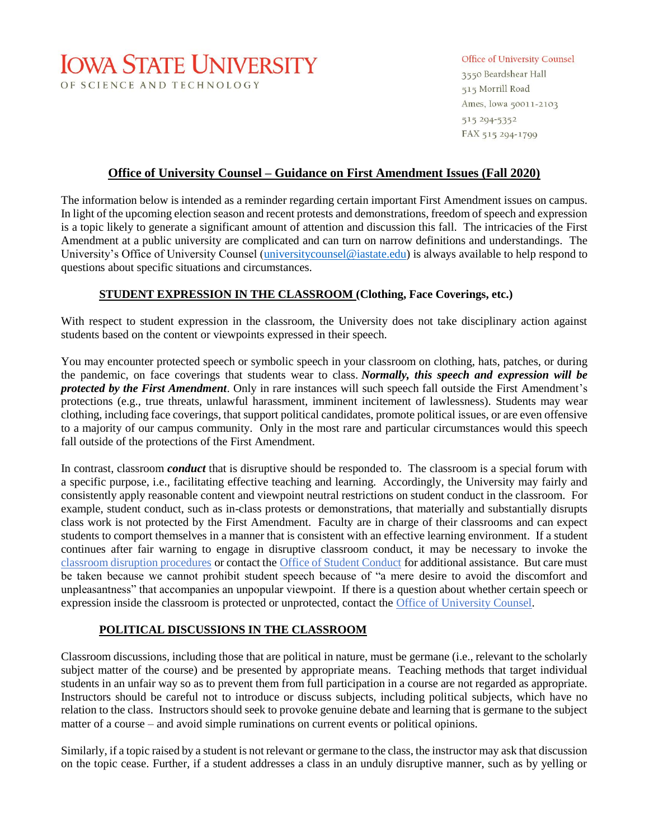# **IOWA STATE UNIVERSITY** OF SCIENCE AND TECHNOLOGY

#### Office of University Counsel

3550 Beardshear Hall 515 Morrill Road Ames, Iowa 50011-2103 515 294-5352 FAX 515 294-1799

### **Office of University Counsel – Guidance on First Amendment Issues (Fall 2020)**

The information below is intended as a reminder regarding certain important First Amendment issues on campus. In light of the upcoming election season and recent protests and demonstrations, freedom of speech and expression is a topic likely to generate a significant amount of attention and discussion this fall. The intricacies of the First Amendment at a public university are complicated and can turn on narrow definitions and understandings. The University's Office of University Counsel [\(universitycounsel@iastate.edu\)](mailto:universitycounsel@iastate.edu) is always available to help respond to questions about specific situations and circumstances.

#### **STUDENT EXPRESSION IN THE CLASSROOM (Clothing, Face Coverings, etc.)**

With respect to student expression in the classroom, the University does not take disciplinary action against students based on the content or viewpoints expressed in their speech.

You may encounter protected speech or symbolic speech in your classroom on clothing, hats, patches, or during the pandemic, on face coverings that students wear to class. *Normally, this speech and expression will be protected by the First Amendment*. Only in rare instances will such speech fall outside the First Amendment's protections (e.g., true threats, unlawful harassment, imminent incitement of lawlessness). Students may wear clothing, including face coverings, that support political candidates, promote political issues, or are even offensive to a majority of our campus community. Only in the most rare and particular circumstances would this speech fall outside of the protections of the First Amendment.

In contrast, classroom *conduct* that is disruptive should be responded to. The classroom is a special forum with a specific purpose, i.e., facilitating effective teaching and learning. Accordingly, the University may fairly and consistently apply reasonable content and viewpoint neutral restrictions on student conduct in the classroom. For example, student conduct, such as in-class protests or demonstrations, that materially and substantially disrupts class work is not protected by the First Amendment. Faculty are in charge of their classrooms and can expect students to comport themselves in a manner that is consistent with an effective learning environment. If a student continues after fair warning to engage in disruptive classroom conduct, it may be necessary to invoke the [classroom disruption procedures](https://www.studentassistance.dso.iastate.edu/faculty-and-staff-resources/disruption) or contact the [Office of Student Conduct](https://www.studentconduct.dso.iastate.edu/) for additional assistance. But care must be taken because we cannot prohibit student speech because of "a mere desire to avoid the discomfort and unpleasantness" that accompanies an unpopular viewpoint. If there is a question about whether certain speech or expression inside the classroom is protected or unprotected, contact the [Office of University Counsel.](mailto:univcounsel@iastate.edu)

#### **POLITICAL DISCUSSIONS IN THE CLASSROOM**

Classroom discussions, including those that are political in nature, must be germane (i.e., relevant to the scholarly subject matter of the course) and be presented by appropriate means. Teaching methods that target individual students in an unfair way so as to prevent them from full participation in a course are not regarded as appropriate. Instructors should be careful not to introduce or discuss subjects, including political subjects, which have no relation to the class. Instructors should seek to provoke genuine debate and learning that is germane to the subject matter of a course – and avoid simple ruminations on current events or political opinions.

Similarly, if a topic raised by a student is not relevant or germane to the class, the instructor may ask that discussion on the topic cease. Further, if a student addresses a class in an unduly disruptive manner, such as by yelling or